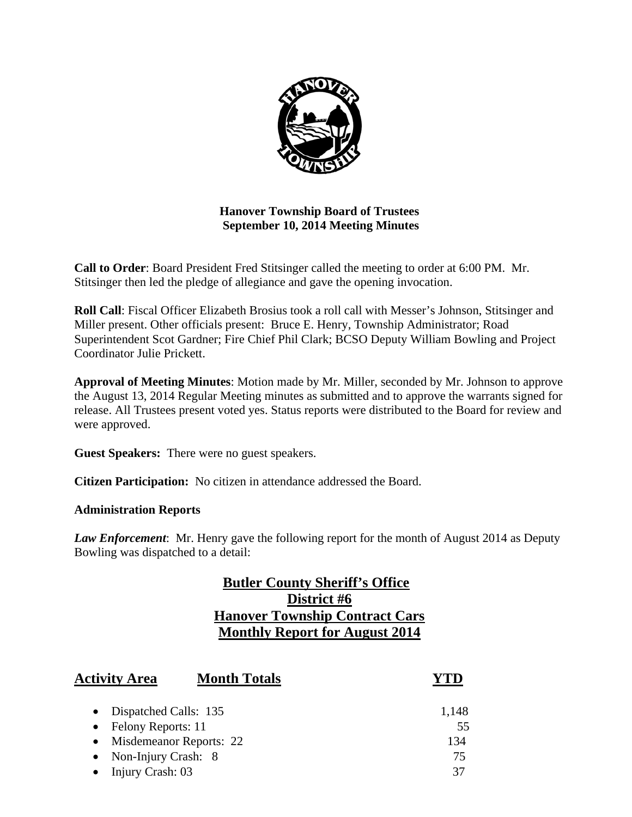

# **Hanover Township Board of Trustees September 10, 2014 Meeting Minutes**

**Call to Order**: Board President Fred Stitsinger called the meeting to order at 6:00 PM. Mr. Stitsinger then led the pledge of allegiance and gave the opening invocation.

**Roll Call**: Fiscal Officer Elizabeth Brosius took a roll call with Messer's Johnson, Stitsinger and Miller present. Other officials present: Bruce E. Henry, Township Administrator; Road Superintendent Scot Gardner; Fire Chief Phil Clark; BCSO Deputy William Bowling and Project Coordinator Julie Prickett.

**Approval of Meeting Minutes**: Motion made by Mr. Miller, seconded by Mr. Johnson to approve the August 13, 2014 Regular Meeting minutes as submitted and to approve the warrants signed for release. All Trustees present voted yes. Status reports were distributed to the Board for review and were approved.

**Guest Speakers:** There were no guest speakers.

**Citizen Participation:** No citizen in attendance addressed the Board.

### **Administration Reports**

*Law Enforcement*: Mr. Henry gave the following report for the month of August 2014 as Deputy Bowling was dispatched to a detail:

# **Butler County Sheriff's Office District #6 Hanover Township Contract Cars Monthly Report for August 2014**

| <b>Activity Area</b>      | <b>Month Totals</b> |       |
|---------------------------|---------------------|-------|
| • Dispatched Calls: 135   |                     | 1,148 |
| • Felony Reports: 11      |                     | 55    |
| • Misdemeanor Reports: 22 |                     | 134   |
| • Non-Injury Crash: $8$   |                     | 75    |
| Injury Crash: 03          |                     | 37    |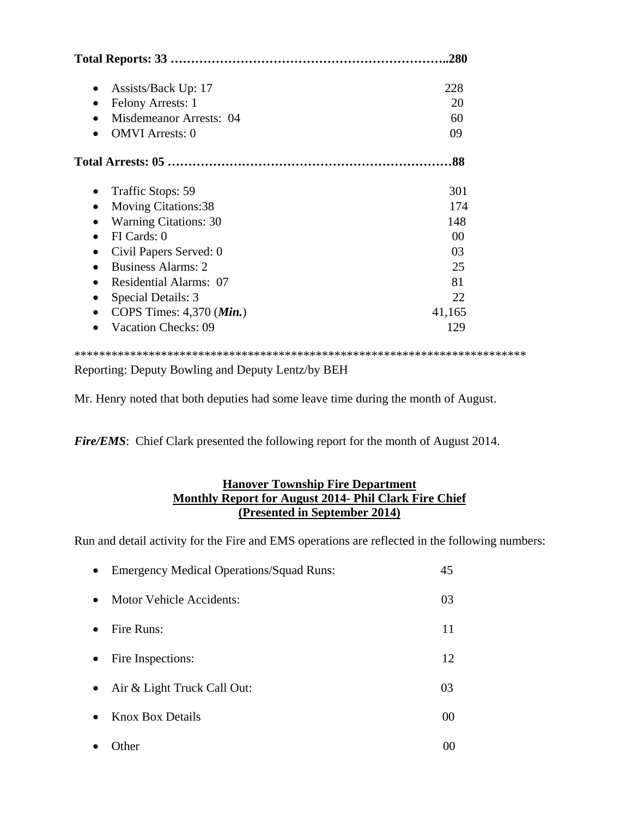| .280                         |        |
|------------------------------|--------|
| Assists/Back Up: 17          | 228    |
| Felony Arrests: 1            | 20     |
| Misdemeanor Arrests: 04      | 60     |
| <b>OMVI</b> Arrests: 0       | 09     |
|                              | 88     |
| Traffic Stops: 59<br>٠       | 301    |
| <b>Moving Citations:38</b>   | 174    |
| <b>Warning Citations: 30</b> | 148    |
| FI Cards: 0                  | $00\,$ |
| Civil Papers Served: 0       | 03     |
| <b>Business Alarms: 2</b>    | 25     |
| Residential Alarms: 07       | 81     |
| Special Details: 3           | 22     |
| COPS Times: 4,370 (Min.)     | 41,165 |
| <b>Vacation Checks: 09</b>   | 129    |

Reporting: Deputy Bowling and Deputy Lentz/by BEH

Mr. Henry noted that both deputies had some leave time during the month of August.

*Fire/EMS*: Chief Clark presented the following report for the month of August 2014.

### **Hanover Township Fire Department Monthly Report for August 2014- Phil Clark Fire Chief (Presented in September 2014)**

Run and detail activity for the Fire and EMS operations are reflected in the following numbers:

| $\bullet$ | <b>Emergency Medical Operations/Squad Runs:</b> | 45 |
|-----------|-------------------------------------------------|----|
| $\bullet$ | Motor Vehicle Accidents:                        | 03 |
|           | Fire Runs:                                      | 11 |
| $\bullet$ | Fire Inspections:                               | 12 |
| $\bullet$ | Air & Light Truck Call Out:                     | 03 |
|           | <b>Knox Box Details</b>                         | 00 |
|           | .)ther                                          |    |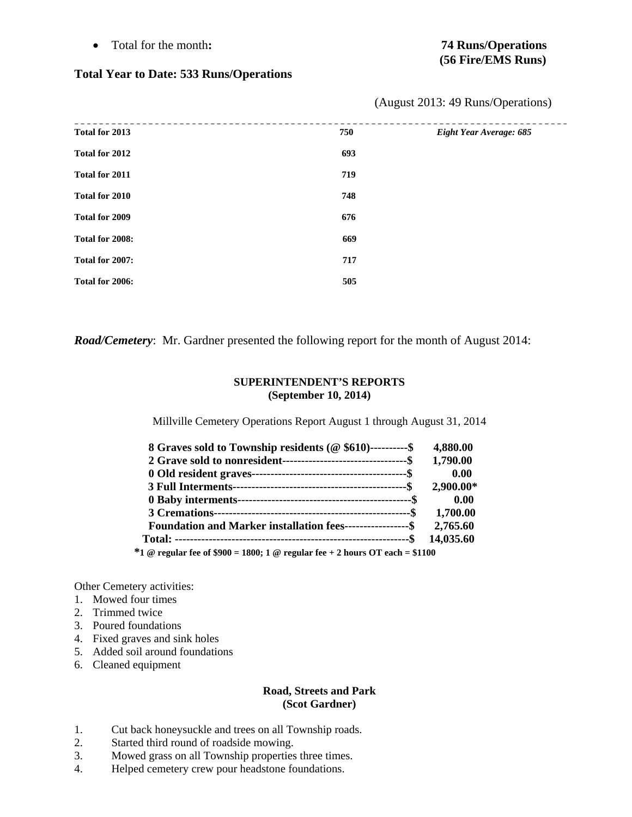Total for the month**: 74 Runs/Operations** 

#### **Total Year to Date: 533 Runs/Operations**

| Total for 2013  | 750 | Eight Year Average: 685 |
|-----------------|-----|-------------------------|
| Total for 2012  | 693 |                         |
| Total for 2011  | 719 |                         |
| Total for 2010  | 748 |                         |
| Total for 2009  | 676 |                         |
| Total for 2008: | 669 |                         |
| Total for 2007: | 717 |                         |
| Total for 2006: | 505 |                         |

(August 2013: 49 Runs/Operations)

*Road/Cemetery*: Mr. Gardner presented the following report for the month of August 2014:

#### **SUPERINTENDENT'S REPORTS (September 10, 2014)**

Millville Cemetery Operations Report August 1 through August 31, 2014

| 8 Graves sold to Township residents (@ \$610)----------\$                    | 4,880.00  |
|------------------------------------------------------------------------------|-----------|
|                                                                              | 1,790.00  |
|                                                                              | 0.00      |
|                                                                              | 2,900.00* |
|                                                                              | 0.00      |
|                                                                              | 1,700.00  |
| Foundation and Marker installation fees------------------\$                  | 2,765.60  |
|                                                                              | 14,035.60 |
| *1 @ regular fee of \$900 = 1800; 1 @ regular fee + 2 hours OT each = \$1100 |           |

Other Cemetery activities:

- 1. Mowed four times
- 2. Trimmed twice
- 3. Poured foundations
- 4. Fixed graves and sink holes
- 5. Added soil around foundations
- 6. Cleaned equipment

#### **Road, Streets and Park (Scot Gardner)**

- 1. Cut back honeysuckle and trees on all Township roads.
- 2. Started third round of roadside mowing.
- 3. Mowed grass on all Township properties three times.
- 4. Helped cemetery crew pour headstone foundations.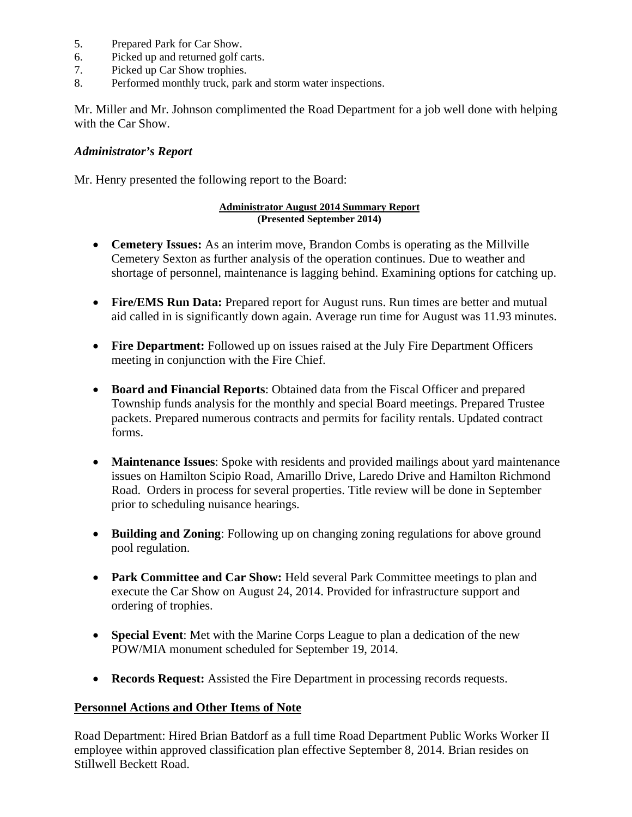- 5. Prepared Park for Car Show.
- 6. Picked up and returned golf carts.
- 7. Picked up Car Show trophies.
- 8. Performed monthly truck, park and storm water inspections.

Mr. Miller and Mr. Johnson complimented the Road Department for a job well done with helping with the Car Show.

#### *Administrator's Report*

Mr. Henry presented the following report to the Board:

#### **Administrator August 2014 Summary Report (Presented September 2014)**

- **Cemetery Issues:** As an interim move, Brandon Combs is operating as the Millville Cemetery Sexton as further analysis of the operation continues. Due to weather and shortage of personnel, maintenance is lagging behind. Examining options for catching up.
- **Fire/EMS Run Data:** Prepared report for August runs. Run times are better and mutual aid called in is significantly down again. Average run time for August was 11.93 minutes.
- **Fire Department:** Followed up on issues raised at the July Fire Department Officers meeting in conjunction with the Fire Chief.
- **Board and Financial Reports**: Obtained data from the Fiscal Officer and prepared Township funds analysis for the monthly and special Board meetings. Prepared Trustee packets. Prepared numerous contracts and permits for facility rentals. Updated contract forms.
- **Maintenance Issues**: Spoke with residents and provided mailings about yard maintenance issues on Hamilton Scipio Road, Amarillo Drive, Laredo Drive and Hamilton Richmond Road. Orders in process for several properties. Title review will be done in September prior to scheduling nuisance hearings.
- **Building and Zoning**: Following up on changing zoning regulations for above ground pool regulation.
- **Park Committee and Car Show:** Held several Park Committee meetings to plan and execute the Car Show on August 24, 2014. Provided for infrastructure support and ordering of trophies.
- **Special Event**: Met with the Marine Corps League to plan a dedication of the new POW/MIA monument scheduled for September 19, 2014.
- **Records Request:** Assisted the Fire Department in processing records requests.

### **Personnel Actions and Other Items of Note**

Road Department: Hired Brian Batdorf as a full time Road Department Public Works Worker II employee within approved classification plan effective September 8, 2014. Brian resides on Stillwell Beckett Road.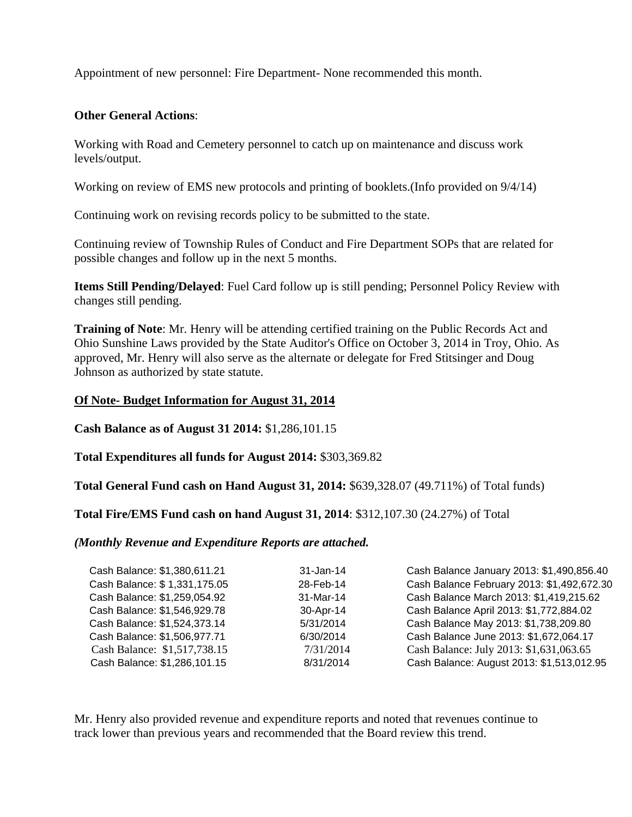Appointment of new personnel: Fire Department- None recommended this month.

### **Other General Actions**:

Working with Road and Cemetery personnel to catch up on maintenance and discuss work levels/output.

Working on review of EMS new protocols and printing of booklets.(Info provided on 9/4/14)

Continuing work on revising records policy to be submitted to the state.

Continuing review of Township Rules of Conduct and Fire Department SOPs that are related for possible changes and follow up in the next 5 months.

**Items Still Pending/Delayed**: Fuel Card follow up is still pending; Personnel Policy Review with changes still pending.

**Training of Note**: Mr. Henry will be attending certified training on the Public Records Act and Ohio Sunshine Laws provided by the State Auditor's Office on October 3, 2014 in Troy, Ohio. As approved, Mr. Henry will also serve as the alternate or delegate for Fred Stitsinger and Doug Johnson as authorized by state statute.

### **Of Note- Budget Information for August 31, 2014**

**Cash Balance as of August 31 2014:** \$1,286,101.15

**Total Expenditures all funds for August 2014:** \$303,369.82

**Total General Fund cash on Hand August 31, 2014:** \$639,328.07 (49.711%) of Total funds)

**Total Fire/EMS Fund cash on hand August 31, 2014**: \$312,107.30 (24.27%) of Total

*(Monthly Revenue and Expenditure Reports are attached.* 

| Cash Balance: \$1,380,611.21 | $31 - Jan-14$ | Cash Balance January 2013: \$1,490,856.40  |
|------------------------------|---------------|--------------------------------------------|
| Cash Balance: \$1,331,175.05 | 28-Feb-14     | Cash Balance February 2013: \$1,492,672.30 |
| Cash Balance: \$1,259,054.92 | 31-Mar-14     | Cash Balance March 2013: \$1,419,215.62    |
| Cash Balance: \$1,546,929.78 | 30-Apr-14     | Cash Balance April 2013: \$1,772,884.02    |
| Cash Balance: \$1,524,373.14 | 5/31/2014     | Cash Balance May 2013: \$1,738,209.80      |
| Cash Balance: \$1,506,977.71 | 6/30/2014     | Cash Balance June 2013: \$1,672,064.17     |
| Cash Balance: \$1,517,738.15 | 7/31/2014     | Cash Balance: July 2013: \$1,631,063.65    |
| Cash Balance: \$1,286,101.15 | 8/31/2014     | Cash Balance: August 2013: \$1,513,012.95  |
|                              |               |                                            |

Mr. Henry also provided revenue and expenditure reports and noted that revenues continue to track lower than previous years and recommended that the Board review this trend.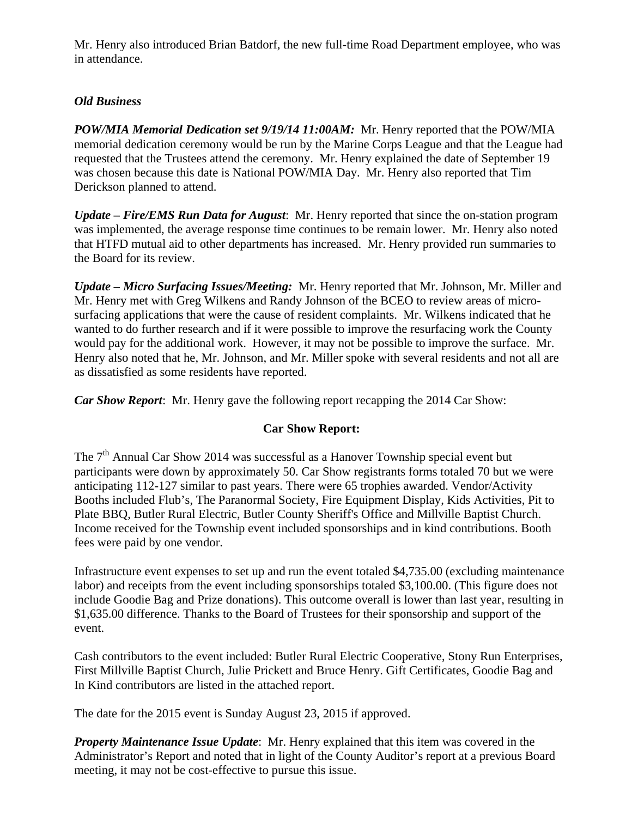Mr. Henry also introduced Brian Batdorf, the new full-time Road Department employee, who was in attendance.

# *Old Business*

*POW/MIA Memorial Dedication set 9/19/14 11:00AM:* Mr. Henry reported that the POW/MIA memorial dedication ceremony would be run by the Marine Corps League and that the League had requested that the Trustees attend the ceremony. Mr. Henry explained the date of September 19 was chosen because this date is National POW/MIA Day. Mr. Henry also reported that Tim Derickson planned to attend.

*Update – Fire/EMS Run Data for August*: Mr. Henry reported that since the on-station program was implemented, the average response time continues to be remain lower. Mr. Henry also noted that HTFD mutual aid to other departments has increased. Mr. Henry provided run summaries to the Board for its review.

*Update – Micro Surfacing Issues/Meeting:* Mr. Henry reported that Mr. Johnson, Mr. Miller and Mr. Henry met with Greg Wilkens and Randy Johnson of the BCEO to review areas of microsurfacing applications that were the cause of resident complaints. Mr. Wilkens indicated that he wanted to do further research and if it were possible to improve the resurfacing work the County would pay for the additional work. However, it may not be possible to improve the surface. Mr. Henry also noted that he, Mr. Johnson, and Mr. Miller spoke with several residents and not all are as dissatisfied as some residents have reported.

*Car Show Report*: Mr. Henry gave the following report recapping the 2014 Car Show:

# **Car Show Report:**

The  $7<sup>th</sup>$  Annual Car Show 2014 was successful as a Hanover Township special event but participants were down by approximately 50. Car Show registrants forms totaled 70 but we were anticipating 112-127 similar to past years. There were 65 trophies awarded. Vendor/Activity Booths included Flub's, The Paranormal Society, Fire Equipment Display, Kids Activities, Pit to Plate BBQ, Butler Rural Electric, Butler County Sheriff's Office and Millville Baptist Church. Income received for the Township event included sponsorships and in kind contributions. Booth fees were paid by one vendor.

Infrastructure event expenses to set up and run the event totaled \$4,735.00 (excluding maintenance labor) and receipts from the event including sponsorships totaled \$3,100.00. (This figure does not include Goodie Bag and Prize donations). This outcome overall is lower than last year, resulting in \$1,635.00 difference. Thanks to the Board of Trustees for their sponsorship and support of the event.

Cash contributors to the event included: Butler Rural Electric Cooperative, Stony Run Enterprises, First Millville Baptist Church, Julie Prickett and Bruce Henry. Gift Certificates, Goodie Bag and In Kind contributors are listed in the attached report.

The date for the 2015 event is Sunday August 23, 2015 if approved.

*Property Maintenance Issue Update*: Mr. Henry explained that this item was covered in the Administrator's Report and noted that in light of the County Auditor's report at a previous Board meeting, it may not be cost-effective to pursue this issue.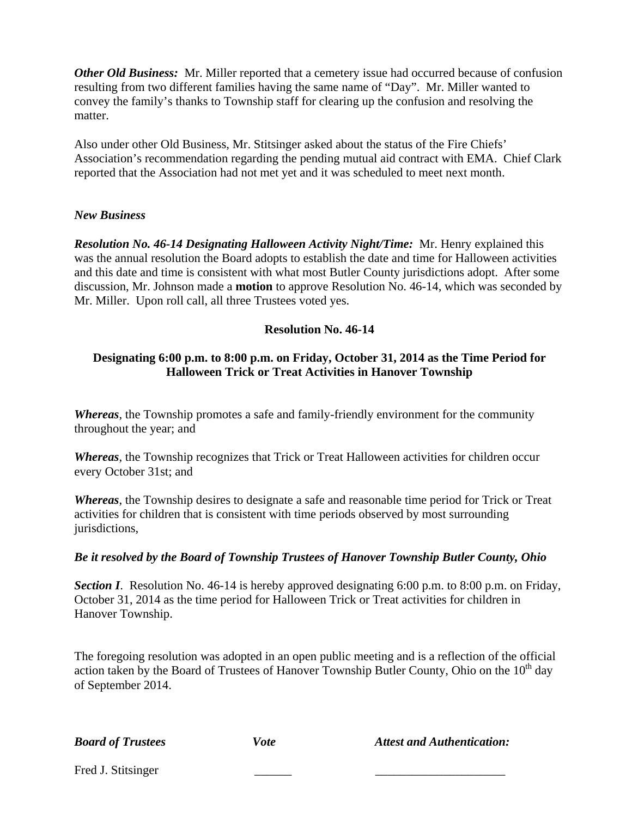*Other Old Business:* Mr. Miller reported that a cemetery issue had occurred because of confusion resulting from two different families having the same name of "Day". Mr. Miller wanted to convey the family's thanks to Township staff for clearing up the confusion and resolving the matter.

Also under other Old Business, Mr. Stitsinger asked about the status of the Fire Chiefs' Association's recommendation regarding the pending mutual aid contract with EMA. Chief Clark reported that the Association had not met yet and it was scheduled to meet next month.

### *New Business*

*Resolution No. 46-14 Designating Halloween Activity Night/Time:* Mr. Henry explained this was the annual resolution the Board adopts to establish the date and time for Halloween activities and this date and time is consistent with what most Butler County jurisdictions adopt. After some discussion, Mr. Johnson made a **motion** to approve Resolution No. 46-14, which was seconded by Mr. Miller. Upon roll call, all three Trustees voted yes.

### **Resolution No. 46-14**

### **Designating 6:00 p.m. to 8:00 p.m. on Friday, October 31, 2014 as the Time Period for Halloween Trick or Treat Activities in Hanover Township**

*Whereas*, the Township promotes a safe and family-friendly environment for the community throughout the year; and

*Whereas*, the Township recognizes that Trick or Treat Halloween activities for children occur every October 31st; and

*Whereas*, the Township desires to designate a safe and reasonable time period for Trick or Treat activities for children that is consistent with time periods observed by most surrounding jurisdictions,

### *Be it resolved by the Board of Township Trustees of Hanover Township Butler County, Ohio*

**Section I**. Resolution No. 46-14 is hereby approved designating 6:00 p.m. to 8:00 p.m. on Friday, October 31, 2014 as the time period for Halloween Trick or Treat activities for children in Hanover Township.

The foregoing resolution was adopted in an open public meeting and is a reflection of the official action taken by the Board of Trustees of Hanover Township Butler County, Ohio on the  $10<sup>th</sup>$  day of September 2014.

*Board of Trustees* Vote Attest and Authentication:

Fred J. Stitsinger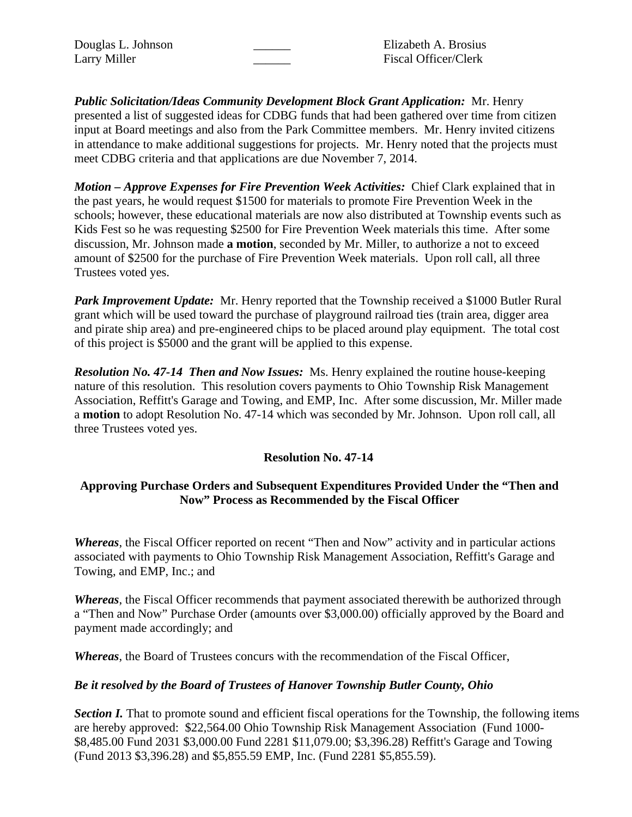Douglas L. Johnson **Elizabeth A. Brosius** Larry Miller Fiscal Officer/Clerk

*Public Solicitation/Ideas Community Development Block Grant Application:* Mr. Henry presented a list of suggested ideas for CDBG funds that had been gathered over time from citizen input at Board meetings and also from the Park Committee members. Mr. Henry invited citizens in attendance to make additional suggestions for projects. Mr. Henry noted that the projects must meet CDBG criteria and that applications are due November 7, 2014.

*Motion – Approve Expenses for Fire Prevention Week Activities:* Chief Clark explained that in the past years, he would request \$1500 for materials to promote Fire Prevention Week in the schools; however, these educational materials are now also distributed at Township events such as Kids Fest so he was requesting \$2500 for Fire Prevention Week materials this time. After some discussion, Mr. Johnson made **a motion**, seconded by Mr. Miller, to authorize a not to exceed amount of \$2500 for the purchase of Fire Prevention Week materials. Upon roll call, all three Trustees voted yes.

**Park Improvement Update:** Mr. Henry reported that the Township received a \$1000 Butler Rural grant which will be used toward the purchase of playground railroad ties (train area, digger area and pirate ship area) and pre-engineered chips to be placed around play equipment. The total cost of this project is \$5000 and the grant will be applied to this expense.

*Resolution No. 47-14 Then and Now Issues:* Ms. Henry explained the routine house-keeping nature of this resolution. This resolution covers payments to Ohio Township Risk Management Association, Reffitt's Garage and Towing, and EMP, Inc. After some discussion, Mr. Miller made a **motion** to adopt Resolution No. 47-14 which was seconded by Mr. Johnson. Upon roll call, all three Trustees voted yes.

## **Resolution No. 47-14**

## **Approving Purchase Orders and Subsequent Expenditures Provided Under the "Then and Now" Process as Recommended by the Fiscal Officer**

*Whereas*, the Fiscal Officer reported on recent "Then and Now" activity and in particular actions associated with payments to Ohio Township Risk Management Association, Reffitt's Garage and Towing, and EMP, Inc.; and

*Whereas*, the Fiscal Officer recommends that payment associated therewith be authorized through a "Then and Now" Purchase Order (amounts over \$3,000.00) officially approved by the Board and payment made accordingly; and

*Whereas*, the Board of Trustees concurs with the recommendation of the Fiscal Officer,

### *Be it resolved by the Board of Trustees of Hanover Township Butler County, Ohio*

*Section I.* That to promote sound and efficient fiscal operations for the Township, the following items are hereby approved: \$22,564.00 Ohio Township Risk Management Association (Fund 1000- \$8,485.00 Fund 2031 \$3,000.00 Fund 2281 \$11,079.00; \$3,396.28) Reffitt's Garage and Towing (Fund 2013 \$3,396.28) and \$5,855.59 EMP, Inc. (Fund 2281 \$5,855.59).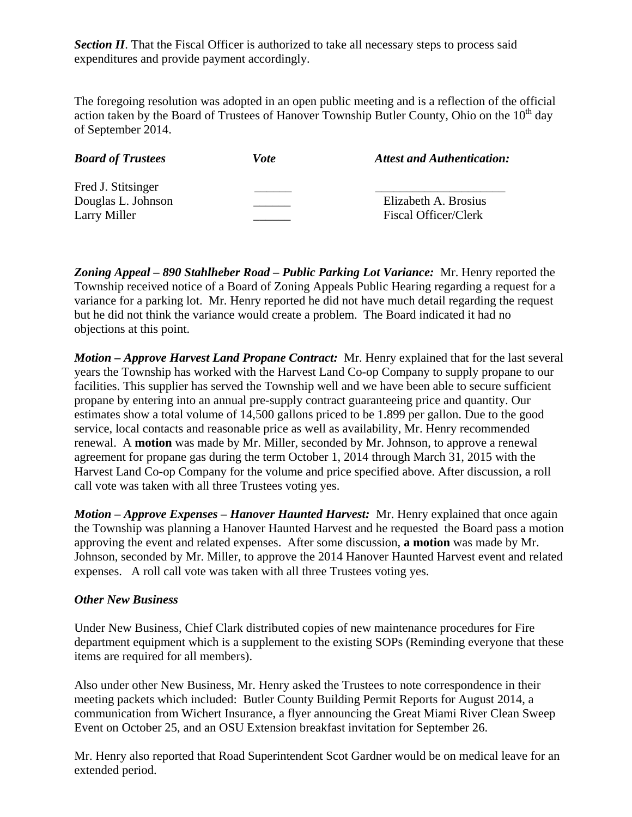**Section II**. That the Fiscal Officer is authorized to take all necessary steps to process said expenditures and provide payment accordingly.

The foregoing resolution was adopted in an open public meeting and is a reflection of the official action taken by the Board of Trustees of Hanover Township Butler County, Ohio on the  $10<sup>th</sup>$  day of September 2014.

| <b>Board of Trustees</b> | Vote | <b>Attest and Authentication:</b> |
|--------------------------|------|-----------------------------------|
| Fred J. Stitsinger       |      |                                   |
| Douglas L. Johnson       |      | Elizabeth A. Brosius              |
| Larry Miller             |      | Fiscal Officer/Clerk              |

*Zoning Appeal – 890 Stahlheber Road – Public Parking Lot Variance:* Mr. Henry reported the Township received notice of a Board of Zoning Appeals Public Hearing regarding a request for a variance for a parking lot. Mr. Henry reported he did not have much detail regarding the request but he did not think the variance would create a problem. The Board indicated it had no objections at this point.

*Motion – Approve Harvest Land Propane Contract:* Mr. Henry explained that for the last several years the Township has worked with the Harvest Land Co-op Company to supply propane to our facilities. This supplier has served the Township well and we have been able to secure sufficient propane by entering into an annual pre-supply contract guaranteeing price and quantity. Our estimates show a total volume of 14,500 gallons priced to be 1.899 per gallon. Due to the good service, local contacts and reasonable price as well as availability, Mr. Henry recommended renewal. A **motion** was made by Mr. Miller, seconded by Mr. Johnson, to approve a renewal agreement for propane gas during the term October 1, 2014 through March 31, 2015 with the Harvest Land Co-op Company for the volume and price specified above. After discussion, a roll call vote was taken with all three Trustees voting yes.

*Motion – Approve Expenses – Hanover Haunted Harvest:* Mr. Henry explained that once again the Township was planning a Hanover Haunted Harvest and he requested the Board pass a motion approving the event and related expenses. After some discussion, **a motion** was made by Mr. Johnson, seconded by Mr. Miller, to approve the 2014 Hanover Haunted Harvest event and related expenses. A roll call vote was taken with all three Trustees voting yes.

### *Other New Business*

Under New Business, Chief Clark distributed copies of new maintenance procedures for Fire department equipment which is a supplement to the existing SOPs (Reminding everyone that these items are required for all members).

Also under other New Business, Mr. Henry asked the Trustees to note correspondence in their meeting packets which included: Butler County Building Permit Reports for August 2014, a communication from Wichert Insurance, a flyer announcing the Great Miami River Clean Sweep Event on October 25, and an OSU Extension breakfast invitation for September 26.

Mr. Henry also reported that Road Superintendent Scot Gardner would be on medical leave for an extended period.